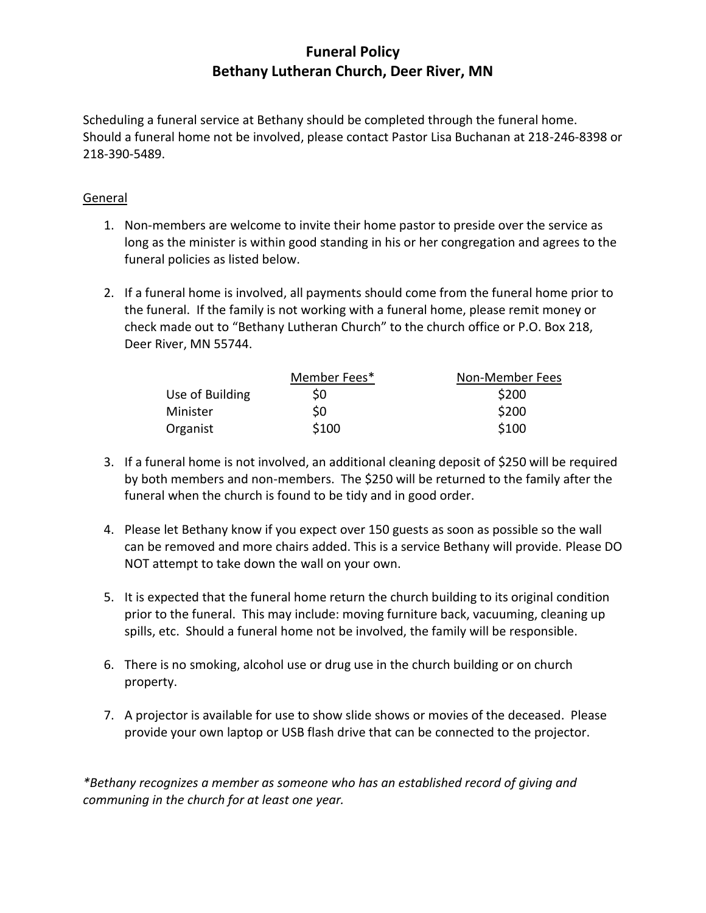## **Funeral Policy Bethany Lutheran Church, Deer River, MN**

Scheduling a funeral service at Bethany should be completed through the funeral home. Should a funeral home not be involved, please contact Pastor Lisa Buchanan at 218-246-8398 or 218-390-5489.

## General

- 1. Non-members are welcome to invite their home pastor to preside over the service as long as the minister is within good standing in his or her congregation and agrees to the funeral policies as listed below.
- 2. If a funeral home is involved, all payments should come from the funeral home prior to the funeral. If the family is not working with a funeral home, please remit money or check made out to "Bethany Lutheran Church" to the church office or P.O. Box 218, Deer River, MN 55744.

|                 | Member Fees* | Non-Member Fees |
|-----------------|--------------|-----------------|
| Use of Building | S0           | \$200           |
| Minister        | S0           | \$200           |
| Organist        | \$100        | \$100           |

- 3. If a funeral home is not involved, an additional cleaning deposit of \$250 will be required by both members and non-members. The \$250 will be returned to the family after the funeral when the church is found to be tidy and in good order.
- 4. Please let Bethany know if you expect over 150 guests as soon as possible so the wall can be removed and more chairs added. This is a service Bethany will provide. Please DO NOT attempt to take down the wall on your own.
- 5. It is expected that the funeral home return the church building to its original condition prior to the funeral. This may include: moving furniture back, vacuuming, cleaning up spills, etc. Should a funeral home not be involved, the family will be responsible.
- 6. There is no smoking, alcohol use or drug use in the church building or on church property.
- 7. A projector is available for use to show slide shows or movies of the deceased. Please provide your own laptop or USB flash drive that can be connected to the projector.

*\*Bethany recognizes a member as someone who has an established record of giving and communing in the church for at least one year.*